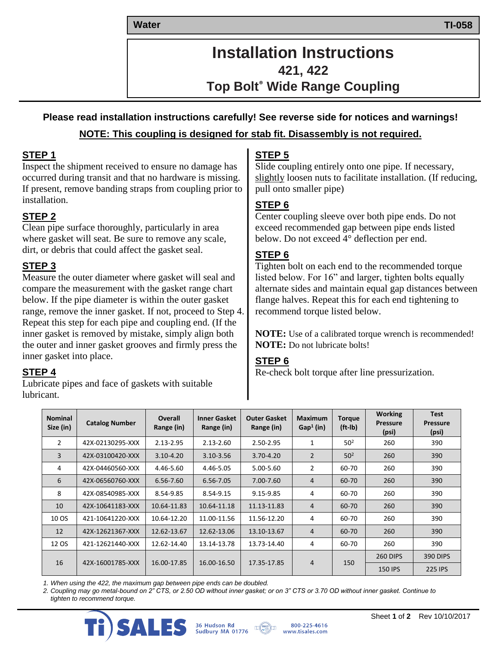**Water Water TI-058**

# **Installation Instructions 421, 422 Top Bolt® Wide Range Coupling**

# **Please read installation instructions carefully! See reverse side for notices and warnings! NOTE: This coupling is designed for stab fit. Disassembly is not required.**

#### **STEP 1**

Inspect the shipment received to ensure no damage has occurred during transit and that no hardware is missing. If present, remove banding straps from coupling prior to installation.

# **STEP 2**

Clean pipe surface thoroughly, particularly in area where gasket will seat. Be sure to remove any scale, dirt, or debris that could affect the gasket seal.

# **STEP 3**

Measure the outer diameter where gasket will seal and compare the measurement with the gasket range chart below. If the pipe diameter is within the outer gasket range, remove the inner gasket. If not, proceed to Step 4. Repeat this step for each pipe and coupling end. (If the inner gasket is removed by mistake, simply align both the outer and inner gasket grooves and firmly press the inner gasket into place.

### **STEP 4**

Lubricate pipes and face of gaskets with suitable lubricant.

# **STEP 5**

Slide coupling entirely onto one pipe. If necessary, slightly loosen nuts to facilitate installation. (If reducing, pull onto smaller pipe)

# **STEP 6**

Center coupling sleeve over both pipe ends. Do not exceed recommended gap between pipe ends listed below. Do not exceed 4° deflection per end.

# **STEP 6**

Tighten bolt on each end to the recommended torque listed below. For 16" and larger, tighten bolts equally alternate sides and maintain equal gap distances between flange halves. Repeat this for each end tightening to recommend torque listed below.

**NOTE:** Use of a calibrated torque wrench is recommended! **NOTE:** Do not lubricate bolts!

# **STEP 6**

Re-check bolt torque after line pressurization.

| <b>Nominal</b><br>Size (in) | <b>Catalog Number</b> | <b>Overall</b><br>Range (in) | <b>Inner Gasket</b><br>Range (in) | <b>Outer Gasket</b><br>Range (in) | <b>Maximum</b><br>$Gap1$ (in) | <b>Torque</b><br>$(ft-lb)$ | <b>Working</b><br><b>Pressure</b><br>(psi) | <b>Test</b><br><b>Pressure</b><br>(psi) |
|-----------------------------|-----------------------|------------------------------|-----------------------------------|-----------------------------------|-------------------------------|----------------------------|--------------------------------------------|-----------------------------------------|
| 2                           | 42X-02130295-XXX      | $2.13 - 2.95$                | $2.13 - 2.60$                     | 2.50-2.95                         | 1                             | 50 <sup>2</sup>            | 260                                        | 390                                     |
| 3                           | 42X-03100420-XXX      | $3.10 - 4.20$                | 3.10-3.56                         | $3.70 - 4.20$                     | $\overline{2}$                | 50 <sup>2</sup>            | 260                                        | 390                                     |
| 4                           | 42X-04460560-XXX      | 4.46-5.60                    | 4.46-5.05                         | 5.00-5.60                         | $\overline{2}$                | 60-70                      | 260                                        | 390                                     |
| 6                           | 42X-06560760-XXX      | 6.56-7.60                    | 6.56-7.05                         | 7.00-7.60                         | 4                             | 60-70                      | 260                                        | 390                                     |
| 8                           | 42X-08540985-XXX      | 8.54-9.85                    | 8.54-9.15                         | 9.15-9.85                         | 4                             | 60-70                      | 260                                        | 390                                     |
| 10                          | 42X-10641183-XXX      | 10.64-11.83                  | 10.64-11.18                       | 11.13-11.83                       | 4                             | 60-70                      | 260                                        | 390                                     |
| 10 OS                       | 421-10641220-XXX      | 10.64-12.20                  | 11.00-11.56                       | 11.56-12.20                       | 4                             | 60-70                      | 260                                        | 390                                     |
| 12                          | 42X-12621367-XXX      | 12.62-13.67                  | 12.62-13.06                       | 13.10-13.67                       | $\overline{4}$                | 60-70                      | 260                                        | 390                                     |
| 12 OS                       | 421-12621440-XXX      | 12.62-14.40                  | 13.14-13.78                       | 13.73-14.40                       | 4                             | 60-70                      | 260                                        | 390                                     |
| 16                          | 42X-16001785-XXX      | 16.00-17.85                  | 16.00-16.50                       | 17.35-17.85                       | $\overline{4}$                | 150                        | 260 DIPS                                   | 390 DIPS                                |
|                             |                       |                              |                                   |                                   |                               |                            | <b>150 IPS</b>                             | 225 IPS                                 |

*1. When using the 422, the maximum gap between pipe ends can be doubled.*

*2. Coupling may go metal-bound on 2" CTS, or 2.50 OD without inner gasket; or on 3" CTS or 3.70 OD without inner gasket. Continue to tighten to recommend torque.*